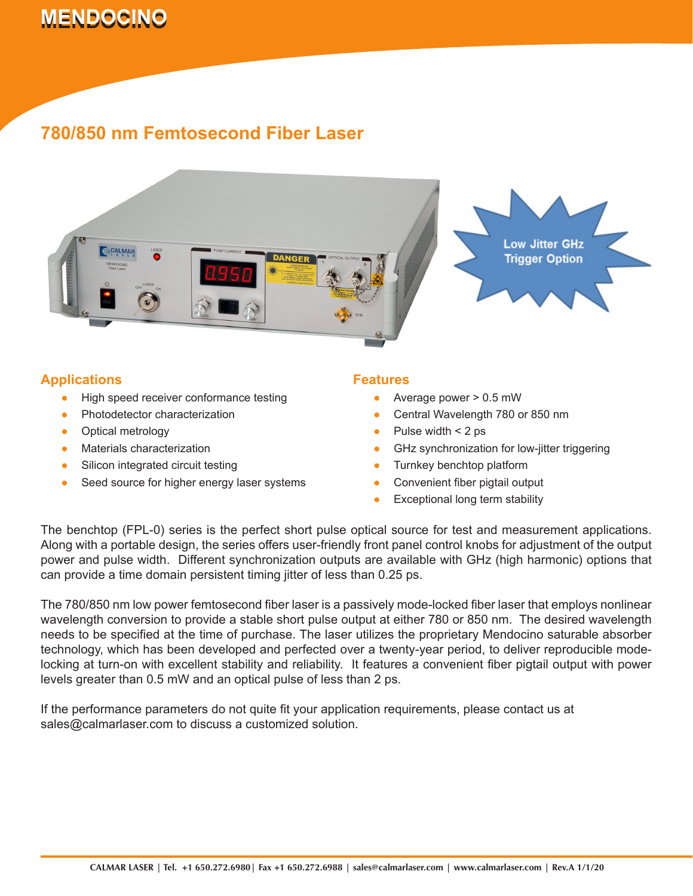# **MENDOCINO 780/850 nm Femtosecond Fiber Laser**

### **780/850 nm Femtosecond Fiber Laser**



#### **Applications**

- High speed receiver conformance testing ●
- Photodetector characterization ●
- Optical metrology ●
- Materials characterization ●
- Silicon integrated circuit testing ●
- Seed source for higher energy laser systems ●

#### **Features**

- Average power > 0.5 mW ●
- Central Wavelength 780 or 850 nm ●
- Pulse width < 2 ps ●
- GHz synchronization for low-jitter triggering ●
- Turnkey benchtop platform ●
- Convenient fiber pigtail output ●
- Exceptional long term stability ●

The benchtop (FPL-0) series is the perfect short pulse optical source for test and measurement applications. Along with a portable design, the series offers user-friendly front panel control knobs for adjustment of the output power and pulse width. Different synchronization outputs are available with GHz (high harmonic) options that can provide a time domain persistent timing jitter of less than 0.25 ps.

The 780/850 nm low power femtosecond fiber laser is a passively mode-locked fiber laser that employs nonlinear wavelength conversion to provide a stable short pulse output at either 780 or 850 nm. The desired wavelength needs to be specified at the time of purchase. The laser utilizes the proprietary Mendocino saturable absorber technology, which has been developed and perfected over a twenty-year period, to deliver reproducible modelocking at turn-on with excellent stability and reliability. It features a convenient fiber pigtail output with power levels greater than 0.5 mW and an optical pulse of less than 2 ps.

If the performance parameters do not quite fit your application requirements, please contact us at sales@calmarlaser.com to discuss a customized solution.